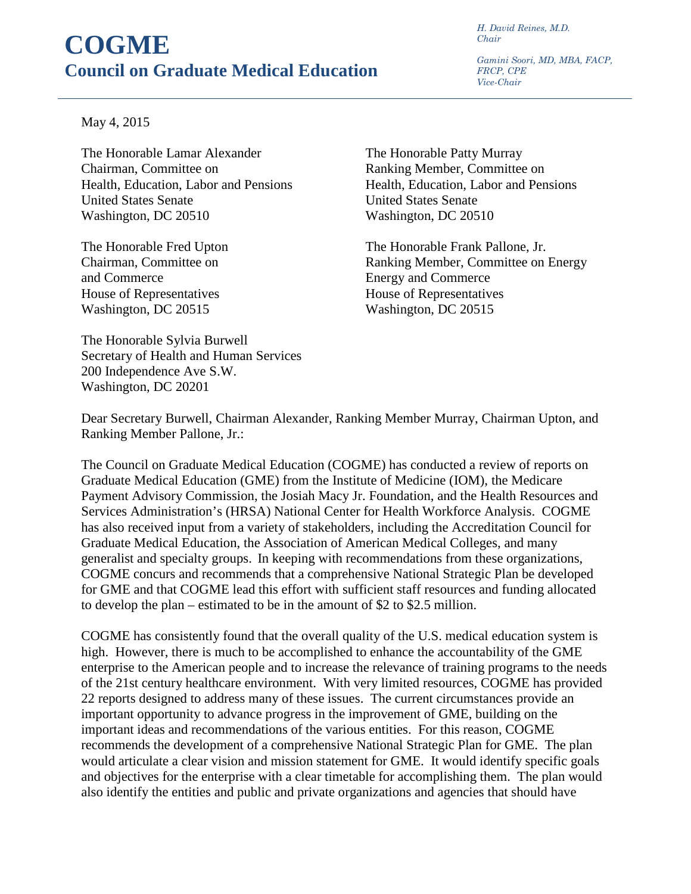## **COGME Council on Graduate Medical Education**

*H. David Reines, M.D. Chair* 

*Gamini Soori, MD, MBA, FACP, FRCP, CPE Vice-Chair*

## May 4, 2015

The Honorable Lamar Alexander The Honorable Patty Murray Chairman, Committee on<br>
Health, Education, Labor and Pensions<br>
Health, Education, Labor and Pensions<br>
Health, Education, Labor and Pensions Health, Education, Labor and Pensions United States Senate United States Senate Washington, DC 20510 Washington, DC 20510

and Commerce Energy and Commerce House of Representatives House of Representatives Washington, DC 20515 Washington, DC 20515

The Honorable Fred Upton The Honorable Frank Pallone, Jr. Chairman, Committee on Ranking Member, Committee on Energy

The Honorable Sylvia Burwell Secretary of Health and Human Services 200 Independence Ave S.W. Washington, DC 20201

Dear Secretary Burwell, Chairman Alexander, Ranking Member Murray, Chairman Upton, and Ranking Member Pallone, Jr.:

The Council on Graduate Medical Education (COGME) has conducted a review of reports on Graduate Medical Education (GME) from the Institute of Medicine (IOM), the Medicare Payment Advisory Commission, the Josiah Macy Jr. Foundation, and the Health Resources and Services Administration's (HRSA) National Center for Health Workforce Analysis. COGME has also received input from a variety of stakeholders, including the Accreditation Council for Graduate Medical Education, the Association of American Medical Colleges, and many generalist and specialty groups. In keeping with recommendations from these organizations, COGME concurs and recommends that a comprehensive National Strategic Plan be developed for GME and that COGME lead this effort with sufficient staff resources and funding allocated to develop the plan – estimated to be in the amount of \$2 to \$2.5 million.

COGME has consistently found that the overall quality of the U.S. medical education system is high. However, there is much to be accomplished to enhance the accountability of the GME enterprise to the American people and to increase the relevance of training programs to the needs of the 21st century healthcare environment. With very limited resources, COGME has provided 22 reports designed to address many of these issues. The current circumstances provide an important opportunity to advance progress in the improvement of GME, building on the important ideas and recommendations of the various entities. For this reason, COGME recommends the development of a comprehensive National Strategic Plan for GME. The plan would articulate a clear vision and mission statement for GME. It would identify specific goals and objectives for the enterprise with a clear timetable for accomplishing them. The plan would also identify the entities and public and private organizations and agencies that should have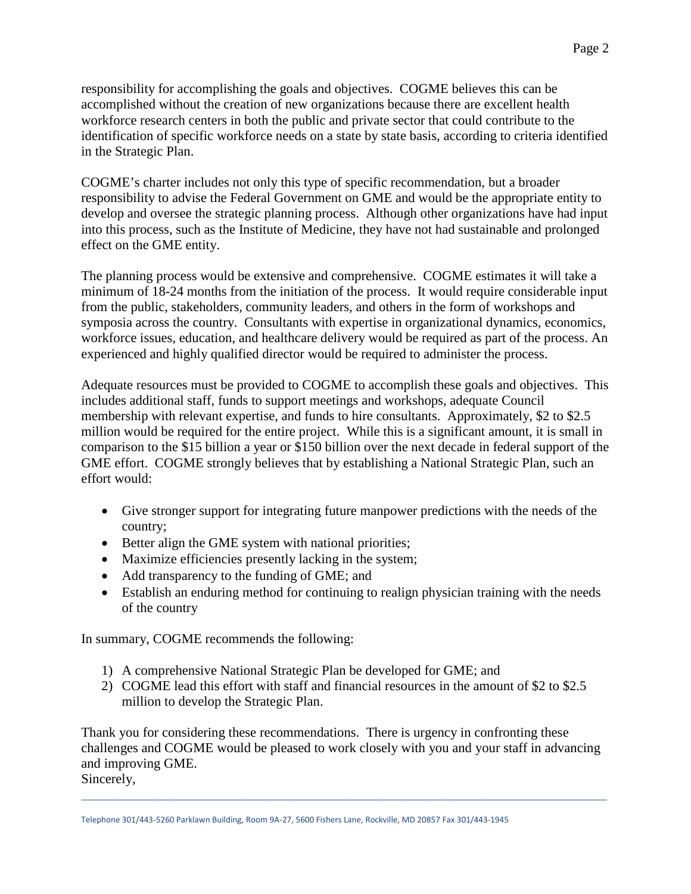responsibility for accomplishing the goals and objectives. COGME believes this can be accomplished without the creation of new organizations because there are excellent health workforce research centers in both the public and private sector that could contribute to the identification of specific workforce needs on a state by state basis, according to criteria identified in the Strategic Plan.

COGME's charter includes not only this type of specific recommendation, but a broader responsibility to advise the Federal Government on GME and would be the appropriate entity to develop and oversee the strategic planning process. Although other organizations have had input into this process, such as the Institute of Medicine, they have not had sustainable and prolonged effect on the GME entity.

The planning process would be extensive and comprehensive. COGME estimates it will take a minimum of 18-24 months from the initiation of the process. It would require considerable input from the public, stakeholders, community leaders, and others in the form of workshops and symposia across the country. Consultants with expertise in organizational dynamics, economics, workforce issues, education, and healthcare delivery would be required as part of the process. An experienced and highly qualified director would be required to administer the process.

Adequate resources must be provided to COGME to accomplish these goals and objectives. This includes additional staff, funds to support meetings and workshops, adequate Council membership with relevant expertise, and funds to hire consultants. Approximately, \$2 to \$2.5 million would be required for the entire project. While this is a significant amount, it is small in comparison to the \$15 billion a year or \$150 billion over the next decade in federal support of the GME effort. COGME strongly believes that by establishing a National Strategic Plan, such an effort would:

- Give stronger support for integrating future manpower predictions with the needs of the country;
- Better align the GME system with national priorities;
- Maximize efficiencies presently lacking in the system;
- Add transparency to the funding of GME; and
- Establish an enduring method for continuing to realign physician training with the needs of the country

In summary, COGME recommends the following:

- 1) A comprehensive National Strategic Plan be developed for GME; and
- 2) COGME lead this effort with staff and financial resources in the amount of \$2 to \$2.5 million to develop the Strategic Plan.

Thank you for considering these recommendations. There is urgency in confronting these challenges and COGME would be pleased to work closely with you and your staff in advancing and improving GME. Sincerely,

\_\_\_\_\_\_\_\_\_\_\_\_\_\_\_\_\_\_\_\_\_\_\_\_\_\_\_\_\_\_\_\_\_\_\_\_\_\_\_\_\_\_\_\_\_\_\_\_\_\_\_\_\_\_\_\_\_\_\_\_\_\_\_\_\_\_\_\_\_\_\_\_\_\_\_\_\_\_\_\_\_\_\_\_\_\_\_\_\_\_\_\_\_\_\_\_\_\_\_\_\_\_\_\_\_\_\_\_\_\_\_\_\_\_\_\_\_